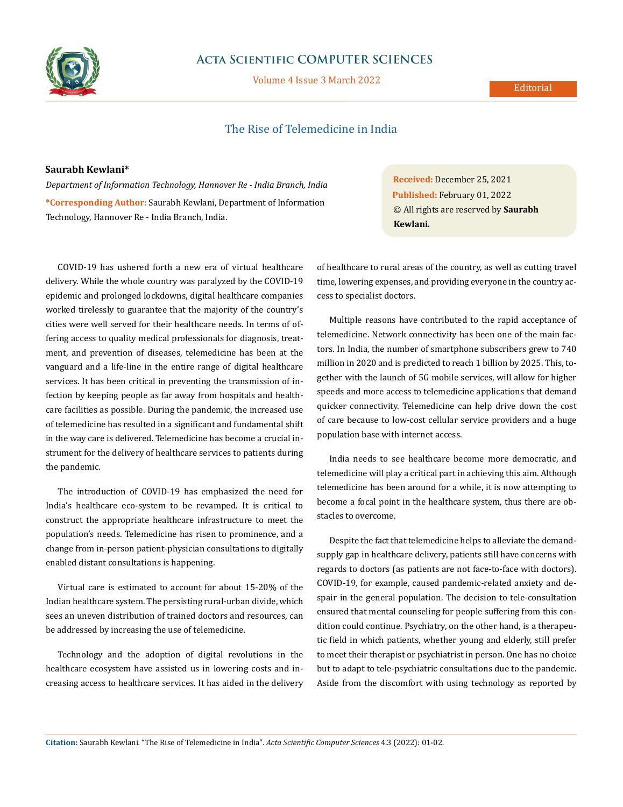

## **Acta Scientific COMPUTER SCIENCES**

Volume 4 Issue 3 March 2022

## **Editorial**

# The Rise of Telemedicine in India

#### **Saurabh Kewlani\***

*Department of Information Technology, Hannover Re - India Branch, India* **\*Corresponding Author:** Saurabh Kewlani, Department of Information Technology, Hannover Re - India Branch, India.

COVID-19 has ushered forth a new era of virtual healthcare delivery. While the whole country was paralyzed by the COVID-19 epidemic and prolonged lockdowns, digital healthcare companies worked tirelessly to guarantee that the majority of the country's cities were well served for their healthcare needs. In terms of offering access to quality medical professionals for diagnosis, treatment, and prevention of diseases, telemedicine has been at the vanguard and a life-line in the entire range of digital healthcare services. It has been critical in preventing the transmission of infection by keeping people as far away from hospitals and healthcare facilities as possible. During the pandemic, the increased use of telemedicine has resulted in a significant and fundamental shift in the way care is delivered. Telemedicine has become a crucial instrument for the delivery of healthcare services to patients during the pandemic.

The introduction of COVID-19 has emphasized the need for India's healthcare eco-system to be revamped. It is critical to construct the appropriate healthcare infrastructure to meet the population's needs. Telemedicine has risen to prominence, and a change from in-person patient-physician consultations to digitally enabled distant consultations is happening.

Virtual care is estimated to account for about 15-20% of the Indian healthcare system. The persisting rural-urban divide, which sees an uneven distribution of trained doctors and resources, can be addressed by increasing the use of telemedicine.

Technology and the adoption of digital revolutions in the healthcare ecosystem have assisted us in lowering costs and increasing access to healthcare services. It has aided in the delivery **Received:** December 25, 2021 **Published:** February 01, 2022 © All rights are reserved by **Saurabh Kewlani***.*

of healthcare to rural areas of the country, as well as cutting travel time, lowering expenses, and providing everyone in the country access to specialist doctors.

Multiple reasons have contributed to the rapid acceptance of telemedicine. Network connectivity has been one of the main factors. In India, the number of smartphone subscribers grew to 740 million in 2020 and is predicted to reach 1 billion by 2025. This, together with the launch of 5G mobile services, will allow for higher speeds and more access to telemedicine applications that demand quicker connectivity. Telemedicine can help drive down the cost of care because to low-cost cellular service providers and a huge population base with internet access.

India needs to see healthcare become more democratic, and telemedicine will play a critical part in achieving this aim. Although telemedicine has been around for a while, it is now attempting to become a focal point in the healthcare system, thus there are obstacles to overcome.

Despite the fact that telemedicine helps to alleviate the demandsupply gap in healthcare delivery, patients still have concerns with regards to doctors (as patients are not face-to-face with doctors). COVID-19, for example, caused pandemic-related anxiety and despair in the general population. The decision to tele-consultation ensured that mental counseling for people suffering from this condition could continue. Psychiatry, on the other hand, is a therapeutic field in which patients, whether young and elderly, still prefer to meet their therapist or psychiatrist in person. One has no choice but to adapt to tele-psychiatric consultations due to the pandemic. Aside from the discomfort with using technology as reported by

**Citation:** Saurabh Kewlani*.* "The Rise of Telemedicine in India". *Acta Scientific Computer Sciences* 4.3 (2022): 01-02.